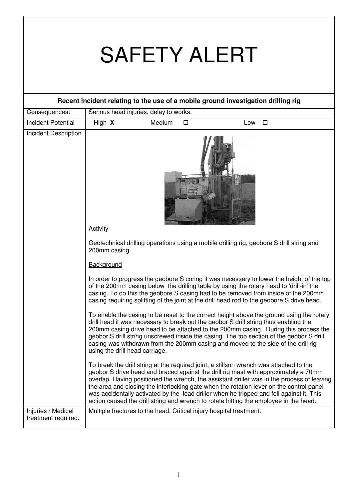## SAFETY ALERT

| Recent incident relating to the use of a mobile ground investigation drilling rig |                                        |        |        |                                                                                      |                                                                                                                                                                                                                                                                                                                                                                                                                                                                                                                                                             |  |
|-----------------------------------------------------------------------------------|----------------------------------------|--------|--------|--------------------------------------------------------------------------------------|-------------------------------------------------------------------------------------------------------------------------------------------------------------------------------------------------------------------------------------------------------------------------------------------------------------------------------------------------------------------------------------------------------------------------------------------------------------------------------------------------------------------------------------------------------------|--|
| Consequences:                                                                     | Serious head injuries, delay to works. |        |        |                                                                                      |                                                                                                                                                                                                                                                                                                                                                                                                                                                                                                                                                             |  |
| <b>Incident Potential</b>                                                         | High X                                 | Medium | $\Box$ | Low                                                                                  | $\Box$                                                                                                                                                                                                                                                                                                                                                                                                                                                                                                                                                      |  |
| <b>Incident Description</b>                                                       | Activity                               |        | шц     |                                                                                      |                                                                                                                                                                                                                                                                                                                                                                                                                                                                                                                                                             |  |
|                                                                                   | 200mm casing.                          |        |        |                                                                                      | Geotechnical drilling operations using a mobile drilling rig, geobore S drill string and                                                                                                                                                                                                                                                                                                                                                                                                                                                                    |  |
|                                                                                   | Background                             |        |        |                                                                                      |                                                                                                                                                                                                                                                                                                                                                                                                                                                                                                                                                             |  |
|                                                                                   |                                        |        |        |                                                                                      | In order to progress the geobore S coring it was necessary to lower the height of the top<br>of the 200mm casing below the drilling table by using the rotary head to 'drill-in' the<br>casing. To do this the geobore S casing had to be removed from inside of the 200mm<br>casing requiring splitting of the joint at the drill head rod to the geobore S drive head.                                                                                                                                                                                    |  |
|                                                                                   | using the drill head carriage          |        |        | drill head it was necessary to break out the geobor S drill string thus enabling the | To enable the casing to be reset to the correct height above the ground using the rotary<br>200mm casing drive head to be attached to the 200mm casing. During this process the<br>geobor S drill string unscrewed inside the casing. The top section of the geobor S drill<br>casing was withdrawn from the 200mm casing and moved to the side of the drill rig                                                                                                                                                                                            |  |
|                                                                                   |                                        |        |        |                                                                                      | To break the drill string at the required joint, a stillson wrench was attached to the<br>geobor S drive head and braced against the drill rig mast with approximately a 70mm<br>overlap. Having positioned the wrench, the assistant driller was in the process of leaving<br>the area and closing the interlocking gate when the rotation lever on the control panel<br>was accidentally activated by the lead driller when he tripped and fell against it. This<br>action caused the drill string and wrench to rotate hitting the employee in the head. |  |
| Injuries / Medical<br>treatment required:                                         |                                        |        |        | Multiple fractures to the head. Critical injury hospital treatment.                  |                                                                                                                                                                                                                                                                                                                                                                                                                                                                                                                                                             |  |